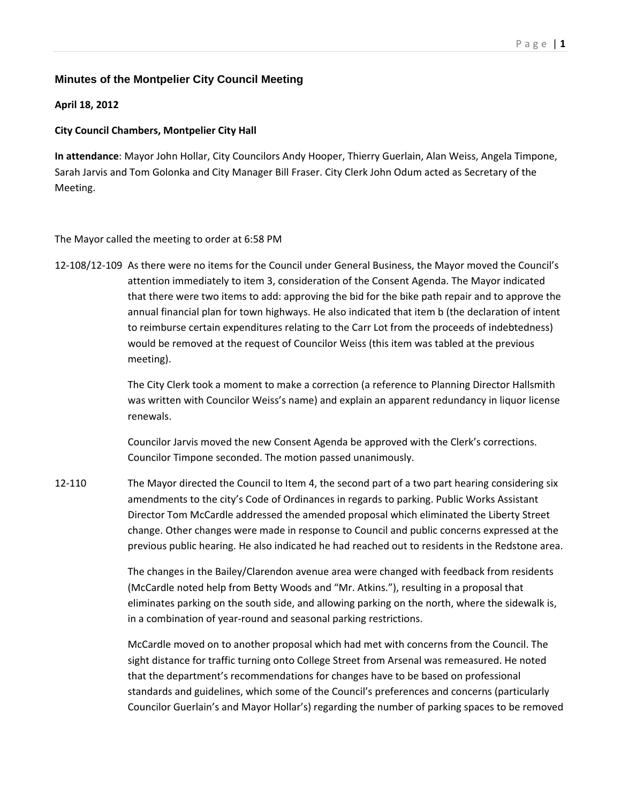## **Minutes of the Montpelier City Council Meeting**

## **April 18, 2012**

## **City Council Chambers, Montpelier City Hall**

**In attendance**: Mayor John Hollar, City Councilors Andy Hooper, Thierry Guerlain, Alan Weiss, Angela Timpone, Sarah Jarvis and Tom Golonka and City Manager Bill Fraser. City Clerk John Odum acted as Secretary of the Meeting.

## The Mayor called the meeting to order at 6:58 PM

12‐108/12‐109 As there were no items for the Council under General Business, the Mayor moved the Council's attention immediately to item 3, consideration of the Consent Agenda. The Mayor indicated that there were two items to add: approving the bid for the bike path repair and to approve the annual financial plan for town highways. He also indicated that item b (the declaration of intent to reimburse certain expenditures relating to the Carr Lot from the proceeds of indebtedness) would be removed at the request of Councilor Weiss (this item was tabled at the previous meeting).

> The City Clerk took a moment to make a correction (a reference to Planning Director Hallsmith was written with Councilor Weiss's name) and explain an apparent redundancy in liquor license renewals.

Councilor Jarvis moved the new Consent Agenda be approved with the Clerk's corrections. Councilor Timpone seconded. The motion passed unanimously.

12-110 The Mayor directed the Council to Item 4, the second part of a two part hearing considering six amendments to the city's Code of Ordinances in regards to parking. Public Works Assistant Director Tom McCardle addressed the amended proposal which eliminated the Liberty Street change. Other changes were made in response to Council and public concerns expressed at the previous public hearing. He also indicated he had reached out to residents in the Redstone area.

> The changes in the Bailey/Clarendon avenue area were changed with feedback from residents (McCardle noted help from Betty Woods and "Mr. Atkins."), resulting in a proposal that eliminates parking on the south side, and allowing parking on the north, where the sidewalk is, in a combination of year‐round and seasonal parking restrictions.

McCardle moved on to another proposal which had met with concerns from the Council. The sight distance for traffic turning onto College Street from Arsenal was remeasured. He noted that the department's recommendations for changes have to be based on professional standards and guidelines, which some of the Council's preferences and concerns (particularly Councilor Guerlain's and Mayor Hollar's) regarding the number of parking spaces to be removed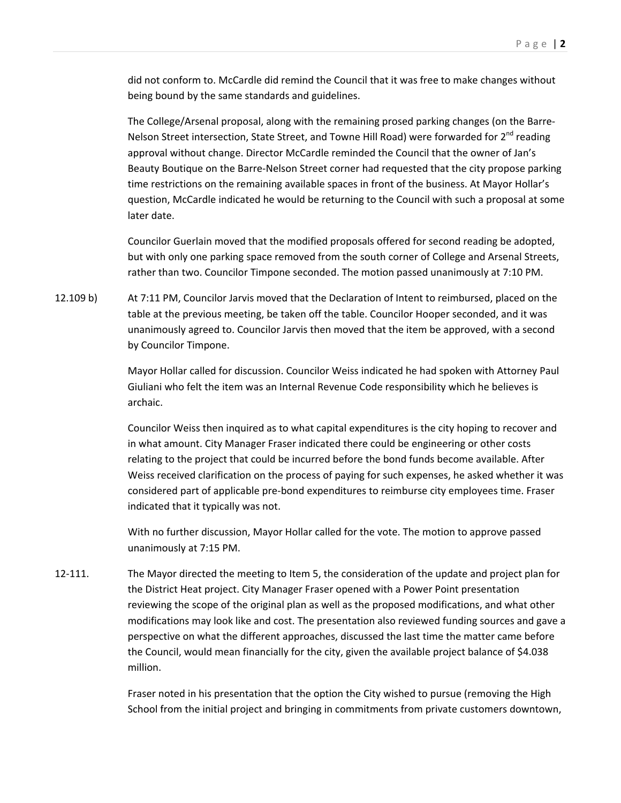did not conform to. McCardle did remind the Council that it was free to make changes without being bound by the same standards and guidelines.

The College/Arsenal proposal, along with the remaining prosed parking changes (on the Barre‐ Nelson Street intersection, State Street, and Towne Hill Road) were forwarded for  $2^{nd}$  reading approval without change. Director McCardle reminded the Council that the owner of Jan's Beauty Boutique on the Barre‐Nelson Street corner had requested that the city propose parking time restrictions on the remaining available spaces in front of the business. At Mayor Hollar's question, McCardle indicated he would be returning to the Council with such a proposal at some later date.

Councilor Guerlain moved that the modified proposals offered for second reading be adopted, but with only one parking space removed from the south corner of College and Arsenal Streets, rather than two. Councilor Timpone seconded. The motion passed unanimously at 7:10 PM.

12.109 b) At 7:11 PM, Councilor Jarvis moved that the Declaration of Intent to reimbursed, placed on the table at the previous meeting, be taken off the table. Councilor Hooper seconded, and it was unanimously agreed to. Councilor Jarvis then moved that the item be approved, with a second by Councilor Timpone.

> Mayor Hollar called for discussion. Councilor Weiss indicated he had spoken with Attorney Paul Giuliani who felt the item was an Internal Revenue Code responsibility which he believes is archaic.

Councilor Weiss then inquired as to what capital expenditures is the city hoping to recover and in what amount. City Manager Fraser indicated there could be engineering or other costs relating to the project that could be incurred before the bond funds become available. After Weiss received clarification on the process of paying for such expenses, he asked whether it was considered part of applicable pre‐bond expenditures to reimburse city employees time. Fraser indicated that it typically was not.

With no further discussion, Mayor Hollar called for the vote. The motion to approve passed unanimously at 7:15 PM.

12-111. The Mayor directed the meeting to Item 5, the consideration of the update and project plan for the District Heat project. City Manager Fraser opened with a Power Point presentation reviewing the scope of the original plan as well as the proposed modifications, and what other modifications may look like and cost. The presentation also reviewed funding sources and gave a perspective on what the different approaches, discussed the last time the matter came before the Council, would mean financially for the city, given the available project balance of \$4.038 million.

> Fraser noted in his presentation that the option the City wished to pursue (removing the High School from the initial project and bringing in commitments from private customers downtown,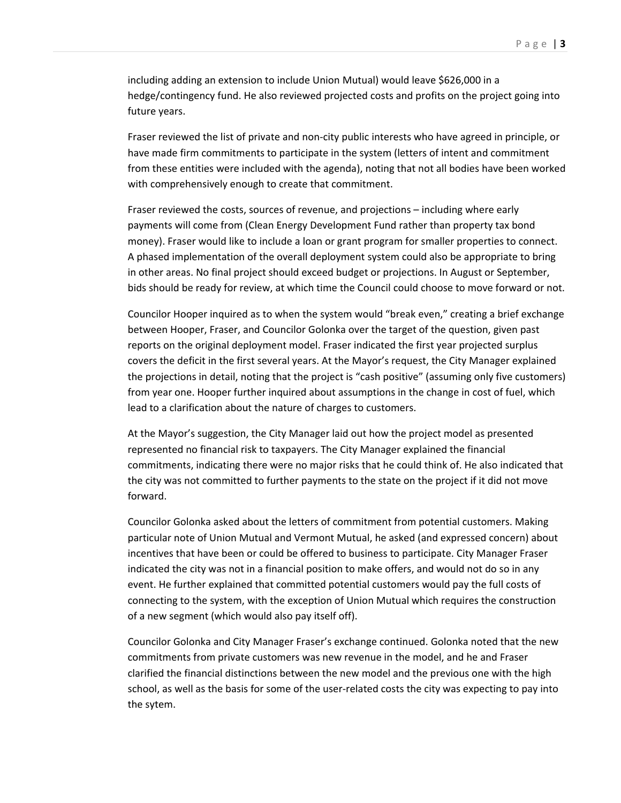including adding an extension to include Union Mutual) would leave \$626,000 in a hedge/contingency fund. He also reviewed projected costs and profits on the project going into future years.

Fraser reviewed the list of private and non‐city public interests who have agreed in principle, or have made firm commitments to participate in the system (letters of intent and commitment from these entities were included with the agenda), noting that not all bodies have been worked with comprehensively enough to create that commitment.

Fraser reviewed the costs, sources of revenue, and projections – including where early payments will come from (Clean Energy Development Fund rather than property tax bond money). Fraser would like to include a loan or grant program for smaller properties to connect. A phased implementation of the overall deployment system could also be appropriate to bring in other areas. No final project should exceed budget or projections. In August or September, bids should be ready for review, at which time the Council could choose to move forward or not.

Councilor Hooper inquired as to when the system would "break even," creating a brief exchange between Hooper, Fraser, and Councilor Golonka over the target of the question, given past reports on the original deployment model. Fraser indicated the first year projected surplus covers the deficit in the first several years. At the Mayor's request, the City Manager explained the projections in detail, noting that the project is "cash positive" (assuming only five customers) from year one. Hooper further inquired about assumptions in the change in cost of fuel, which lead to a clarification about the nature of charges to customers.

At the Mayor's suggestion, the City Manager laid out how the project model as presented represented no financial risk to taxpayers. The City Manager explained the financial commitments, indicating there were no major risks that he could think of. He also indicated that the city was not committed to further payments to the state on the project if it did not move forward.

Councilor Golonka asked about the letters of commitment from potential customers. Making particular note of Union Mutual and Vermont Mutual, he asked (and expressed concern) about incentives that have been or could be offered to business to participate. City Manager Fraser indicated the city was not in a financial position to make offers, and would not do so in any event. He further explained that committed potential customers would pay the full costs of connecting to the system, with the exception of Union Mutual which requires the construction of a new segment (which would also pay itself off).

Councilor Golonka and City Manager Fraser's exchange continued. Golonka noted that the new commitments from private customers was new revenue in the model, and he and Fraser clarified the financial distinctions between the new model and the previous one with the high school, as well as the basis for some of the user-related costs the city was expecting to pay into the sytem.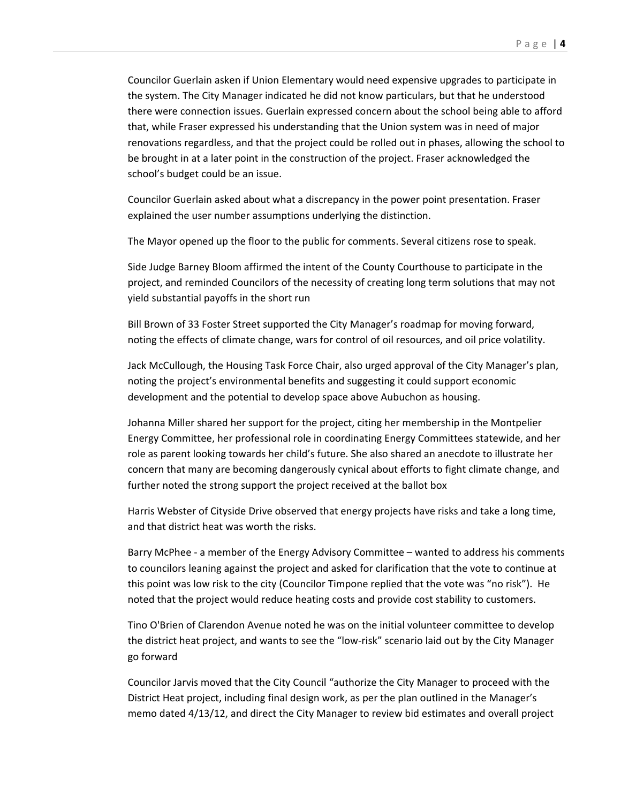Councilor Guerlain asken if Union Elementary would need expensive upgrades to participate in the system. The City Manager indicated he did not know particulars, but that he understood there were connection issues. Guerlain expressed concern about the school being able to afford that, while Fraser expressed his understanding that the Union system was in need of major renovations regardless, and that the project could be rolled out in phases, allowing the school to be brought in at a later point in the construction of the project. Fraser acknowledged the school's budget could be an issue.

Councilor Guerlain asked about what a discrepancy in the power point presentation. Fraser explained the user number assumptions underlying the distinction.

The Mayor opened up the floor to the public for comments. Several citizens rose to speak.

Side Judge Barney Bloom affirmed the intent of the County Courthouse to participate in the project, and reminded Councilors of the necessity of creating long term solutions that may not yield substantial payoffs in the short run

Bill Brown of 33 Foster Street supported the City Manager's roadmap for moving forward, noting the effects of climate change, wars for control of oil resources, and oil price volatility.

Jack McCullough, the Housing Task Force Chair, also urged approval of the City Manager's plan, noting the project's environmental benefits and suggesting it could support economic development and the potential to develop space above Aubuchon as housing.

Johanna Miller shared her support for the project, citing her membership in the Montpelier Energy Committee, her professional role in coordinating Energy Committees statewide, and her role as parent looking towards her child's future. She also shared an anecdote to illustrate her concern that many are becoming dangerously cynical about efforts to fight climate change, and further noted the strong support the project received at the ballot box

Harris Webster of Cityside Drive observed that energy projects have risks and take a long time, and that district heat was worth the risks.

Barry McPhee ‐ a member of the Energy Advisory Committee – wanted to address his comments to councilors leaning against the project and asked for clarification that the vote to continue at this point was low risk to the city (Councilor Timpone replied that the vote was "no risk"). He noted that the project would reduce heating costs and provide cost stability to customers.

Tino O'Brien of Clarendon Avenue noted he was on the initial volunteer committee to develop the district heat project, and wants to see the "low-risk" scenario laid out by the City Manager go forward

Councilor Jarvis moved that the City Council "authorize the City Manager to proceed with the District Heat project, including final design work, as per the plan outlined in the Manager's memo dated 4/13/12, and direct the City Manager to review bid estimates and overall project